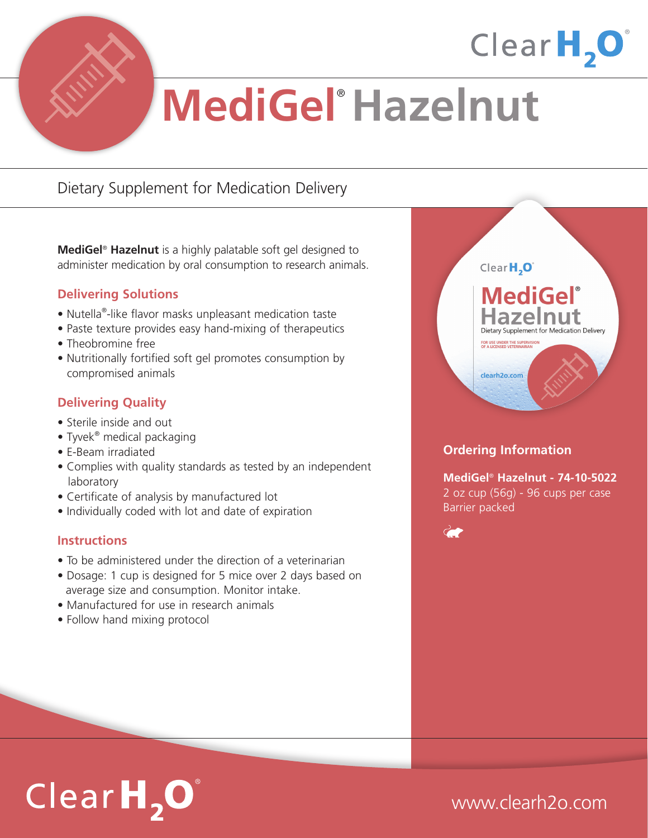

# **MediGel**® **Hazelnut**

## Dietary Supplement for Medication Delivery

**MediGel**® **Hazelnut** is a highly palatable soft gel designed to administer medication by oral consumption to research animals.

### **Delivering Solutions**

- Nutella®-like flavor masks unpleasant medication taste
- Paste texture provides easy hand-mixing of therapeutics
- Theobromine free
- Nutritionally fortified soft gel promotes consumption by compromised animals

### **Delivering Quality**

- Sterile inside and out
- Tyvek<sup>®</sup> medical packaging
- E-Beam irradiated
- Complies with quality standards as tested by an independent laboratory
- Certificate of analysis by manufactured lot
- Individually coded with lot and date of expiration

### **Instructions**

- To be administered under the direction of a veterinarian
- Dosage: 1 cup is designed for 5 mice over 2 days based on average size and consumption. Monitor intake.
- Manufactured for use in research animals
- Follow hand mixing protocol



Clear $H, O$ 

### **Ordering Information**

**MediGel**® **Hazelnut - 74-10-5022** 2 oz cup (56g) - 96 cups per case Barrier packed



# $ClearH, O$

## www.clearh2o.com